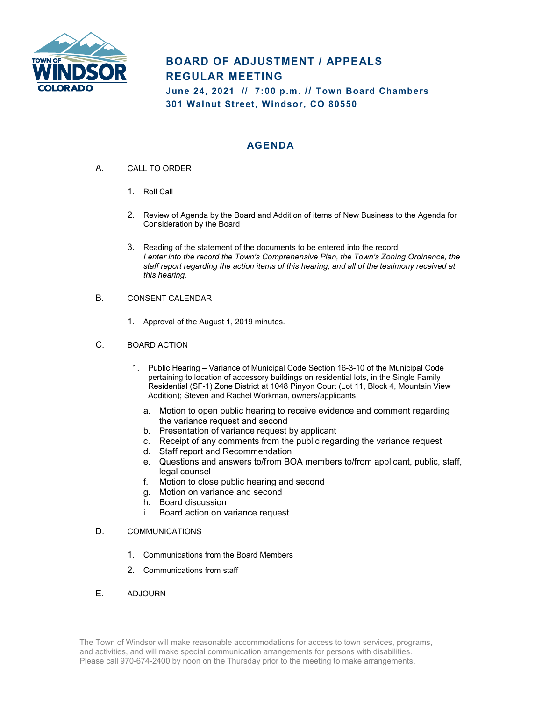

# **BOARD OF ADJUSTMENT / APPEALS REGULAR MEETING**

**June 24, 2021 // 7:00 p.m. // Town Board Chambers 301 Walnut Street, Windsor, CO 80550**

## **AGENDA**

- A. CALL TO ORDER
	- 1. Roll Call
	- 2. Review of Agenda by the Board and Addition of items of New Business to the Agenda for Consideration by the Board
	- 3. Reading of the statement of the documents to be entered into the record: *I enter into the record the Town's Comprehensive Plan, the Town's Zoning Ordinance, the staff report regarding the action items of this hearing, and all of the testimony received at this hearing.*
- B. CONSENT CALENDAR
	- 1. Approval of the August 1, 2019 minutes.
- C. BOARD ACTION
	- 1. Public Hearing Variance of Municipal Code Section 16-3-10 of the Municipal Code pertaining to location of accessory buildings on residential lots, in the Single Family Residential (SF-1) Zone District at 1048 Pinyon Court (Lot 11, Block 4, Mountain View Addition); Steven and Rachel Workman, owners/applicants
		- a. Motion to open public hearing to receive evidence and comment regarding the variance request and second
		- b. Presentation of variance request by applicant
		- c. Receipt of any comments from the public regarding the variance request
		- d. Staff report and Recommendation
		- e. Questions and answers to/from BOA members to/from applicant, public, staff, legal counsel
		- f. Motion to close public hearing and second
		- g. Motion on variance and second
		- h. Board discussion
		- i. Board action on variance request

### D. COMMUNICATIONS

- 1. Communications from the Board Members
- 2. Communications from staff

### E. ADJOURN